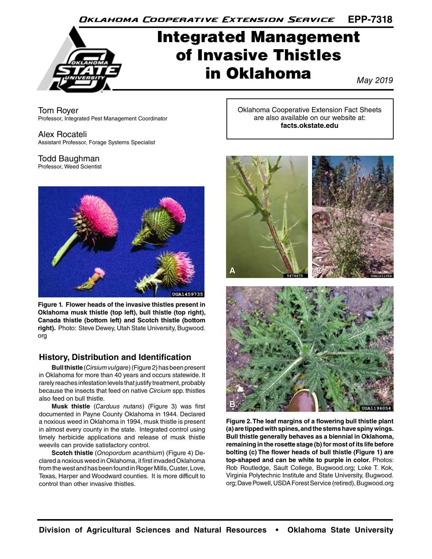**EPP-7318** Oklahoma Cooperative Extension Service

# Integrated Management of Invasive Thistles in Oklahoma

*May 2019*

Tom Royer Professor, Integrated Pest Management Coordinator

Alex Rocateli Assistant Professor, Forage Systems Specialist

# Todd Baughman

Professor, Weed Scientist



**Figure 1. Flower heads of the invasive thistles present in Oklahoma musk thistle (top left), bull thistle (top right), Canada thistle (bottom left) and Scotch thistle (bottom right).** Photo: Steve Dewey, Utah State University, Bugwood. org

## **History, Distribution and Identification**

**Bull thistle** (*Cirsium vulgare*) (Figure 2) has been present in Oklahoma for more than 40 years and occurs statewide. It rarely reaches infestation levels that justify treatment, probably because the insects that feed on native *Circium* spp. thistles also feed on bull thistle.

**Musk thistle** (*Carduus nutans*) (Figure 3) was first documented in Payne County Oklahoma in 1944. Declared a noxious weed in Oklahoma in 1994, musk thistle is present in almost every county in the state. Integrated control using timely herbicide applications and release of musk thistle weevils can provide satisfactory control.

**Scotch thistle** (*Onopordum acanthium*) (Figure 4) Declared a noxious weed in Oklahoma, it first invaded Oklahoma from the west and has been found in Roger Mills, Custer, Love, Texas, Harper and Woodward counties. It is more difficult to control than other invasive thistles.

Oklahoma Cooperative Extension Fact Sheets are also available on our website at: **facts.okstate.edu**



**Figure 2. The leaf margins of a flowering bull thistle plant (a) are tipped with spines, and the stems have spiny wings. Bull thistle generally behaves as a biennial in Oklahoma, remaining in the rosette stage (b) for most of its life before bolting (c) The flower heads of bull thistle (Figure 1) are top-shaped and can be white to purple in color.** Photos: Rob Routledge, Sault College, Bugwood.org; Loke T. Kok, Virginia Polytechnic Institute and State University, Bugwood. org; Dave Powell, USDA Forest Service (retired), Bugwood.org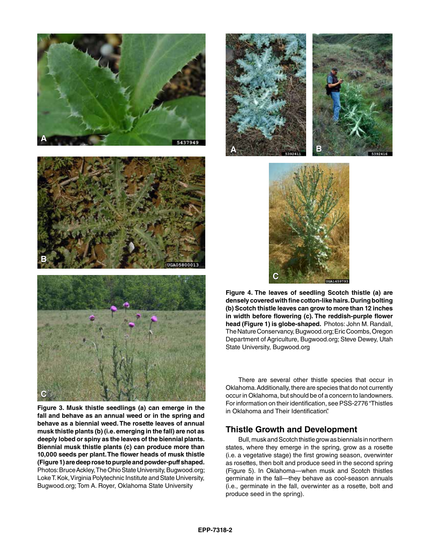





**Figure 3. Musk thistle seedlings (a) can emerge in the fall and behave as an annual weed or in the spring and behave as a biennial weed. The rosette leaves of annual musk thistle plants (b) (i.e. emerging in the fall) are not as deeply lobed or spiny as the leaves of the biennial plants. Biennial musk thistle plants (c) can produce more than 10,000 seeds per plant. The flower heads of musk thistle (Figure 1) are deep rose to purple and powder-puff shaped.** Photos: Bruce Ackley, The Ohio State University, Bugwood.org; Loke T. Kok, Virginia Polytechnic Institute and State University, Bugwood.org; Tom A. Royer, Oklahoma State University





**Figure 4. The leaves of seedling Scotch thistle (a) are densely covered with fine cotton-like hairs. During bolting (b) Scotch thistle leaves can grow to more than 12 inches in width before flowering (c). The reddish-purple flower head (Figure 1) is globe-shaped.** Photos: John M. Randall, The Nature Conservancy, Bugwood.org; Eric Coombs, Oregon Department of Agriculture, Bugwood.org; Steve Dewey, Utah State University, Bugwood.org

There are several other thistle species that occur in Oklahoma. Additionally, there are species that do not currently occur in Oklahoma, but should be of a concern to landowners. For information on their identification, see PSS-2776 "Thistles in Oklahoma and Their Identification".

## **Thistle Growth and Development**

Bull, musk and Scotch thistle grow as biennials in northern states, where they emerge in the spring, grow as a rosette (i.e. a vegetative stage) the first growing season, overwinter as rosettes, then bolt and produce seed in the second spring (Figure 5). In Oklahoma—when musk and Scotch thistles germinate in the fall—they behave as cool-season annuals (i.e., germinate in the fall, overwinter as a rosette, bolt and produce seed in the spring).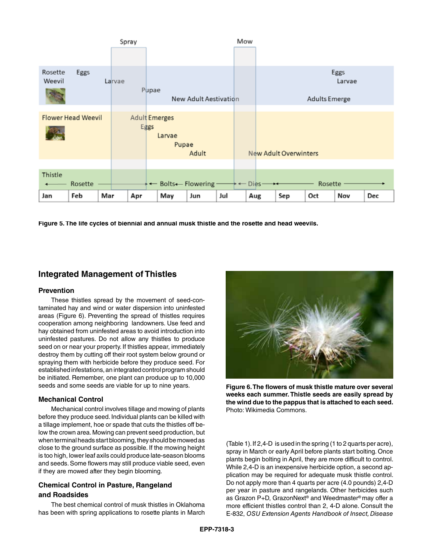| Spray                     |               | Mow                   |                       |     |          |                              |                      |                |     |
|---------------------------|---------------|-----------------------|-----------------------|-----|----------|------------------------------|----------------------|----------------|-----|
|                           |               |                       |                       |     |          |                              |                      |                |     |
| Rosette<br>Eggs<br>Weevil | Larvae        |                       |                       |     |          |                              |                      | Eggs<br>Larvae |     |
|                           | Pupae         |                       | New Adult Aestivation |     |          |                              | <b>Adults Emerge</b> |                |     |
|                           |               |                       |                       |     |          |                              |                      |                |     |
| <b>Flower Head Weevil</b> | Adult Emerges |                       |                       |     |          |                              |                      |                |     |
|                           | Eggs          | Larvae<br>Pupae       | Adult                 |     |          | <b>New Adult Overwinters</b> |                      |                |     |
|                           |               |                       |                       |     |          |                              |                      |                |     |
| Thistle<br>Rosette        |               | + ← Bolts ← Flowering |                       |     | $DieS -$ |                              | Rosette              |                |     |
| Feb<br>Mar<br>Jan         | Apr           | May                   | Jun                   | Jul | Aug      | Sep                          | Oct                  | Nov            | Dec |

**Figure 5. The life cycles of biennial and annual musk thistle and the rosette and head weevils.**

## **Integrated Management of Thistles**

#### **Prevention**

These thistles spread by the movement of seed-contaminated hay and wind or water dispersion into uninfested areas (Figure 6). Preventing the spread of thistles requires cooperation among neighboring landowners. Use feed and hay obtained from uninfested areas to avoid introduction into uninfested pastures. Do not allow any thistles to produce seed on or near your property. If thistles appear, immediately destroy them by cutting off their root system below ground or spraying them with herbicide before they produce seed. For established infestations, an integrated control program should be initiated. Remember, one plant can produce up to 10,000 seeds and some seeds are viable for up to nine years.

#### **Mechanical Control**

Mechanical control involves tillage and mowing of plants before they produce seed. Individual plants can be killed with a tillage implement, hoe or spade that cuts the thistles off below the crown area. Mowing can prevent seed production, but when terminal heads start blooming, they should be mowed as close to the ground surface as possible. If the mowing height is too high, lower leaf axils could produce late-season blooms and seeds. Some flowers may still produce viable seed, even if they are mowed after they begin blooming.

## **Chemical Control in Pasture, Rangeland and Roadsides**

The best chemical control of musk thistles in Oklahoma has been with spring applications to rosette plants in March



**Figure 6. The flowers of musk thistle mature over several weeks each summer. Thistle seeds are easily spread by the wind due to the pappus that is attached to each seed.**  Photo: Wikimedia Commons.

(Table 1). If 2,4-D is used in the spring (1 to 2 quarts per acre), spray in March or early April before plants start bolting. Once plants begin bolting in April, they are more difficult to control. While 2,4-D is an inexpensive herbicide option, a second application may be required for adequate musk thistle control. Do not apply more than 4 quarts per acre (4.0 pounds) 2,4-D per year in pasture and rangelands. Other herbicides such as Grazon P+D, GrazonNext® and Weedmaster® may offer a more efficient thistles control than 2, 4-D alone. Consult the E-832, *OSU Extension Agents Handbook of Insect, Disease*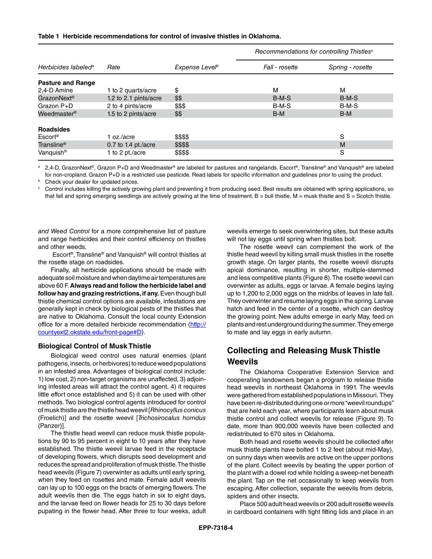| Table 1 Herbicide recommendations for control of invasive thistles in Oklahoma. |  |
|---------------------------------------------------------------------------------|--|
|---------------------------------------------------------------------------------|--|

|                                         |                       |                            | Recommendations for controlling Thistles <sup>c</sup> |                  |  |  |
|-----------------------------------------|-----------------------|----------------------------|-------------------------------------------------------|------------------|--|--|
| Herbicides labeled <sup>a</sup>         | Rate                  | Expense Level <sup>b</sup> | Fall - rosette                                        | Spring - rosette |  |  |
| <b>Pasture and Range</b>                |                       |                            |                                                       |                  |  |  |
| 2,4-D Amine                             | 1 to 2 quarts/acre    | \$                         | м                                                     | м                |  |  |
| GrazonNext <sup>®</sup>                 | 1.2 to 2.1 pints/acre | \$\$                       | $B-M-S$                                               | $B-M-S$          |  |  |
| Grazon P+D                              | 2 to 4 pints/acre     | \$\$\$                     | B-M-S                                                 | B-M-S            |  |  |
| Weedmaster <sup>®</sup>                 | 1.5 to 2 pints/acre   | \$\$                       | $B-M$                                                 | $B-M$            |  |  |
| <b>Roadsides</b><br>Escort <sup>®</sup> | 1 $oz/acre$           | \$\$\$\$                   |                                                       | S                |  |  |
| Transline <sup>®</sup>                  | 0.7 to 1.4 pt./acre   | \$\$\$\$                   |                                                       | M                |  |  |
| Vanquish <sup>®</sup>                   | 1 to 2 pt./acre       | \$\$\$\$                   |                                                       | S                |  |  |

a 2,4-D, GrazonNext®, Grazon P+D and Weedmaster® are labeled for pastures and rangelands. Escort®, Transline® and Vanquish® are labeled for non-cropland. Grazon P+D is a restricted use pesticide. Read labels for specific information and guidelines prior to using the product.

**b** Check your dealer for updated prices.

<sup>c</sup> Control includes killing the actively growing plant and preventing it from producing seed. Best results are obtained with spring applications, so that fall and spring emerging seedlings are actively growing at the time of treatment.  $B =$  bull thistle,  $M =$  musk thistle and  $S =$  Scotch thistle.

*and Weed Control* for a more comprehensive list of pasture and range herbicides and their control efficiency on thistles and other weeds.

 Escort®, Transline® and Vanquish® will control thistles at the rosette stage on roadsides.

Finally, all herbicide applications should be made with adequate soil moisture and when daytime air temperatures are above 60 F. **Always read and follow the herbicide label and follow hay and grazing restrictions, if any.** Even though bull thistle chemical control options are available, infestations are generally kept in check by biological pests of the thistles that are native to Oklahoma. Consult the local county Extension office for a more detailed herbicide recommendation (http:// countyext2.okstate.edu/front-page#D).

#### **Biological Control of Musk Thistle**

Biological weed control uses natural enemies (plant pathogens, insects, or herbivores) to reduce weed populations in an infested area. Advantages of biological control include: 1) low cost, 2) non-target organisms are unaffected, 3) adjoining infested areas will attract the control agent, 4) it requires little effort once established and 5) it can be used with other methods. Two biological control agents introduced for control of musk thistle are the thistle head weevil [*Rhinocyllus conicus* (Froelich)] and the rosette weevil [*Trichosirocalus horridus* (Panzer)].

The thistle head weevil can reduce musk thistle populations by 90 to 95 percent in eight to 10 years after they have established. The thistle weevil larvae feed in the receptacle of developing flowers, which disrupts seed development and reduces the spread and proliferation of musk thistle. The thistle head weevils (Figure 7) overwinter as adults until early spring, when they feed on rosettes and mate. Female adult weevils can lay up to 100 eggs on the bracts of emerging flowers. The adult weevils then die. The eggs hatch in six to eight days, and the larvae feed on flower heads for 25 to 30 days before pupating in the flower head. After three to four weeks, adult weevils emerge to seek overwintering sites, but these adults will not lay eggs until spring when thistles bolt.

The rosette weevil can complement the work of the thistle head weevil by killing small musk thistles in the rosette growth stage. On larger plants, the rosette weevil disrupts apical dominance, resulting in shorter, multiple-stemmed and less competitive plants (Figure 8). The rosette weevil can overwinter as adults, eggs or larvae. A female begins laying up to 1,200 to 2,000 eggs on the midribs of leaves in late fall. They overwinter and resume laying eggs in the spring. Larvae hatch and feed in the center of a rosette, which can destroy the growing point. New adults emerge in early May, feed on plants and rest underground during the summer. They emerge to mate and lay eggs in early autumn.

## **Collecting and Releasing Musk Thistle Weevils**

The Oklahoma Cooperative Extension Service and cooperating landowners began a program to release thistle head weevils in northeast Oklahoma in 1991. The weevils were gathered from established populations in Missouri. They have been re-distributed during one or more "weevil roundups" that are held each year, where participants learn about musk thistle control and collect weevils for release (Figure 9). To date, more than 900,000 weevils have been collected and redistributed to 670 sites in Oklahoma.

Both head and rosette weevils should be collected after musk thistle plants have bolted 1 to 2 feet (about mid-May), on sunny days when weevils are active on the upper portions of the plant. Collect weevils by beating the upper portion of the plant with a dowel rod while holding a sweep-net beneath the plant. Tap on the net occasionally to keep weevils from escaping. After collection, separate the weevils from debris, spiders and other insects.

Place 500 adult head weevils or 200 adult rosette weevils in cardboard containers with tight fitting lids and place in an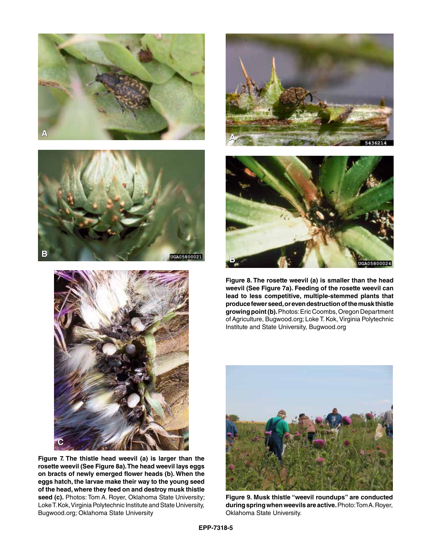





**Figure 7. The thistle head weevil (a) is larger than the rosette weevil (See Figure 8a). The head weevil lays eggs on bracts of newly emerged flower heads (b). When the eggs hatch, the larvae make their way to the young seed of the head, where they feed on and destroy musk thistle**  seed (c). Photos: Tom A. Royer, Oklahoma State University; Loke T. Kok, Virginia Polytechnic Institute and State University, Bugwood.org; Oklahoma State University





**Figure 8. The rosette weevil (a) is smaller than the head weevil (See Figure 7a). Feeding of the rosette weevil can lead to less competitive, multiple-stemmed plants that produce fewer seed, or even destruction of the musk thistle growing point (b).** Photos: Eric Coombs, Oregon Department of Agriculture, Bugwood.org; Loke T. Kok, Virginia Polytechnic Institute and State University, Bugwood.org



**Figure 9. Musk thistle "weevil roundups" are conducted during spring when weevils are active.** Photo: Tom A. Royer, Oklahoma State University.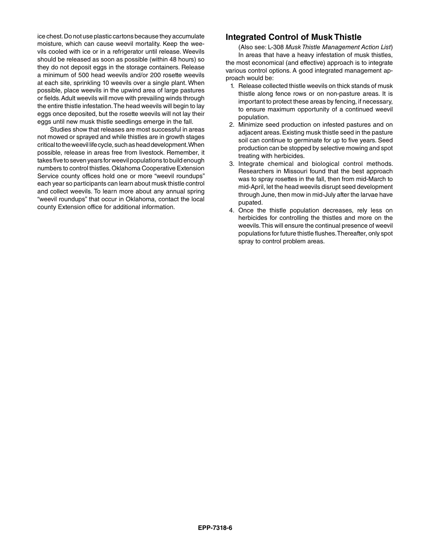ice chest. Do not use plastic cartons because they accumulate moisture, which can cause weevil mortality. Keep the weevils cooled with ice or in a refrigerator until release. Weevils should be released as soon as possible (within 48 hours) so they do not deposit eggs in the storage containers. Release a minimum of 500 head weevils and/or 200 rosette weevils at each site, sprinkling 10 weevils over a single plant. When possible, place weevils in the upwind area of large pastures or fields. Adult weevils will move with prevailing winds through the entire thistle infestation. The head weevils will begin to lay eggs once deposited, but the rosette weevils will not lay their eggs until new musk thistle seedlings emerge in the fall.

Studies show that releases are most successful in areas not mowed or sprayed and while thistles are in growth stages critical to the weevil life cycle, such as head development. When possible, release in areas free from livestock. Remember, it takes five to seven years for weevil populations to build enough numbers to control thistles. Oklahoma Cooperative Extension Service county offices hold one or more "weevil roundups" each year so participants can learn about musk thistle control and collect weevils. To learn more about any annual spring "weevil roundups" that occur in Oklahoma, contact the local county Extension office for additional information.

## **Integrated Control of Musk Thistle**

(Also see: L-308 *Musk Thistle Management Action List*) In areas that have a heavy infestation of musk thistles, the most economical (and effective) approach is to integrate various control options. A good integrated management approach would be:

- 1. Release collected thistle weevils on thick stands of musk thistle along fence rows or on non-pasture areas. It is important to protect these areas by fencing, if necessary, to ensure maximum opportunity of a continued weevil population.
- 2. Minimize seed production on infested pastures and on adjacent areas. Existing musk thistle seed in the pasture soil can continue to germinate for up to five years. Seed production can be stopped by selective mowing and spot treating with herbicides.
- 3. Integrate chemical and biological control methods. Researchers in Missouri found that the best approach was to spray rosettes in the fall, then from mid-March to mid-April, let the head weevils disrupt seed development through June, then mow in mid-July after the larvae have pupated.
- 4. Once the thistle population decreases, rely less on herbicides for controlling the thistles and more on the weevils. This will ensure the continual presence of weevil populations for future thistle flushes. Thereafter, only spot spray to control problem areas.